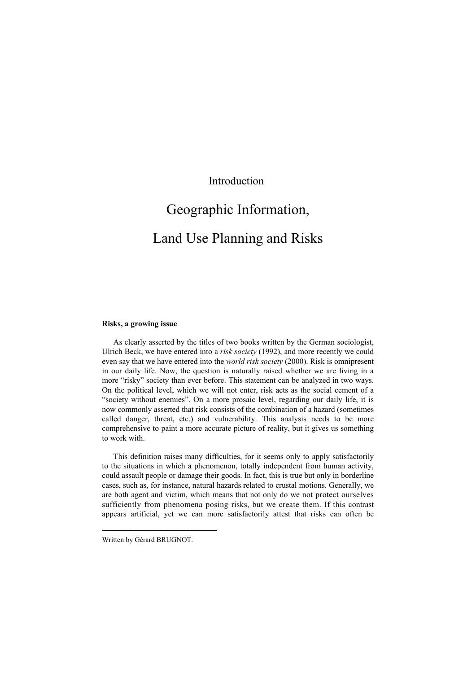## **Introduction**

# Geographic Information, Land Use Planning and Risks

#### **Risks, a growing issue**

As clearly asserted by the titles of two books written by the German sociologist, Ulrich Beck, we have entered into a *risk society* (1992), and more recently we could even say that we have entered into the *world risk society* (2000). Risk is omnipresent in our daily life. Now, the question is naturally raised whether we are living in a more "risky" society than ever before. This statement can be analyzed in two ways. On the political level, which we will not enter, risk acts as the social cement of a "society without enemies". On a more prosaic level, regarding our daily life, it is now commonly asserted that risk consists of the combination of a hazard (sometimes called danger, threat, etc.) and vulnerability. This analysis needs to be more comprehensive to paint a more accurate picture of reality, but it gives us something to work with.

This definition raises many difficulties, for it seems only to apply satisfactorily to the situations in which a phenomenon, totally independent from human activity, could assault people or damage their goods. In fact, this is true but only in borderline cases, such as, for instance, natural hazards related to crustal motions. Generally, we are both agent and victim, which means that not only do we not protect ourselves sufficiently from phenomena posing risks, but we create them. If this contrast appears artificial, yet we can more satisfactorily attest that risks can often be

Written by Gérard BRUGNOT.

 $\overline{a}$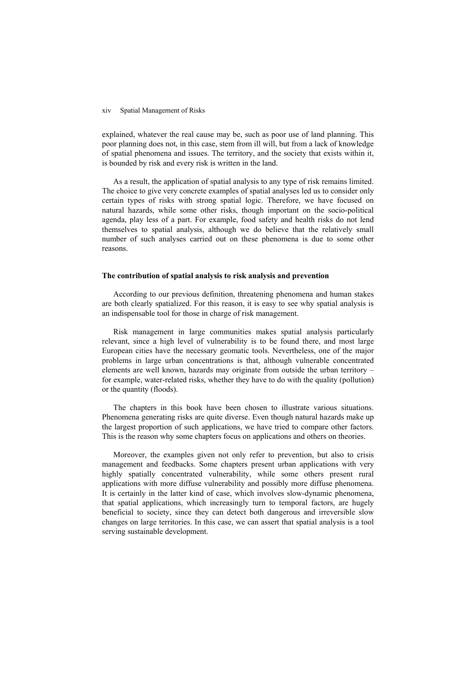#### xiv Spatial Management of Risks

explained, whatever the real cause may be, such as poor use of land planning. This poor planning does not, in this case, stem from ill will, but from a lack of knowledge of spatial phenomena and issues. The territory, and the society that exists within it, is bounded by risk and every risk is written in the land.

As a result, the application of spatial analysis to any type of risk remains limited. The choice to give very concrete examples of spatial analyses led us to consider only certain types of risks with strong spatial logic. Therefore, we have focused on natural hazards, while some other risks, though important on the socio-political agenda, play less of a part. For example, food safety and health risks do not lend themselves to spatial analysis, although we do believe that the relatively small number of such analyses carried out on these phenomena is due to some other reasons.

#### **The contribution of spatial analysis to risk analysis and prevention**

According to our previous definition, threatening phenomena and human stakes are both clearly spatialized. For this reason, it is easy to see why spatial analysis is an indispensable tool for those in charge of risk management.

Risk management in large communities makes spatial analysis particularly relevant, since a high level of vulnerability is to be found there, and most large European cities have the necessary geomatic tools. Nevertheless, one of the major problems in large urban concentrations is that, although vulnerable concentrated elements are well known, hazards may originate from outside the urban territory – for example, water-related risks, whether they have to do with the quality (pollution) or the quantity (floods).

The chapters in this book have been chosen to illustrate various situations. Phenomena generating risks are quite diverse. Even though natural hazards make up the largest proportion of such applications, we have tried to compare other factors. This is the reason why some chapters focus on applications and others on theories.

Moreover, the examples given not only refer to prevention, but also to crisis management and feedbacks. Some chapters present urban applications with very highly spatially concentrated vulnerability, while some others present rural applications with more diffuse vulnerability and possibly more diffuse phenomena. It is certainly in the latter kind of case, which involves slow-dynamic phenomena, that spatial applications, which increasingly turn to temporal factors, are hugely beneficial to society, since they can detect both dangerous and irreversible slow changes on large territories. In this case, we can assert that spatial analysis is a tool serving sustainable development.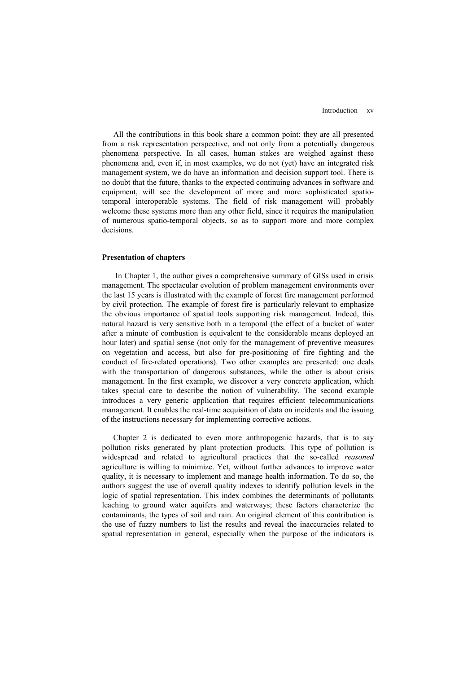All the contributions in this book share a common point: they are all presented from a risk representation perspective, and not only from a potentially dangerous phenomena perspective. In all cases, human stakes are weighed against these phenomena and, even if, in most examples, we do not (yet) have an integrated risk management system, we do have an information and decision support tool. There is no doubt that the future, thanks to the expected continuing advances in software and equipment, will see the development of more and more sophisticated spatiotemporal interoperable systems. The field of risk management will probably welcome these systems more than any other field, since it requires the manipulation of numerous spatio-temporal objects, so as to support more and more complex decisions.

#### **Presentation of chapters**

 In Chapter 1, the author gives a comprehensive summary of GISs used in crisis management. The spectacular evolution of problem management environments over the last 15 years is illustrated with the example of forest fire management performed by civil protection. The example of forest fire is particularly relevant to emphasize the obvious importance of spatial tools supporting risk management. Indeed, this natural hazard is very sensitive both in a temporal (the effect of a bucket of water after a minute of combustion is equivalent to the considerable means deployed an hour later) and spatial sense (not only for the management of preventive measures on vegetation and access, but also for pre-positioning of fire fighting and the conduct of fire-related operations). Two other examples are presented: one deals with the transportation of dangerous substances, while the other is about crisis management. In the first example, we discover a very concrete application, which takes special care to describe the notion of vulnerability. The second example introduces a very generic application that requires efficient telecommunications management. It enables the real-time acquisition of data on incidents and the issuing of the instructions necessary for implementing corrective actions.

Chapter 2 is dedicated to even more anthropogenic hazards, that is to say pollution risks generated by plant protection products. This type of pollution is widespread and related to agricultural practices that the so-called *reasoned* agriculture is willing to minimize. Yet, without further advances to improve water quality, it is necessary to implement and manage health information. To do so, the authors suggest the use of overall quality indexes to identify pollution levels in the logic of spatial representation. This index combines the determinants of pollutants leaching to ground water aquifers and waterways; these factors characterize the contaminants, the types of soil and rain. An original element of this contribution is the use of fuzzy numbers to list the results and reveal the inaccuracies related to spatial representation in general, especially when the purpose of the indicators is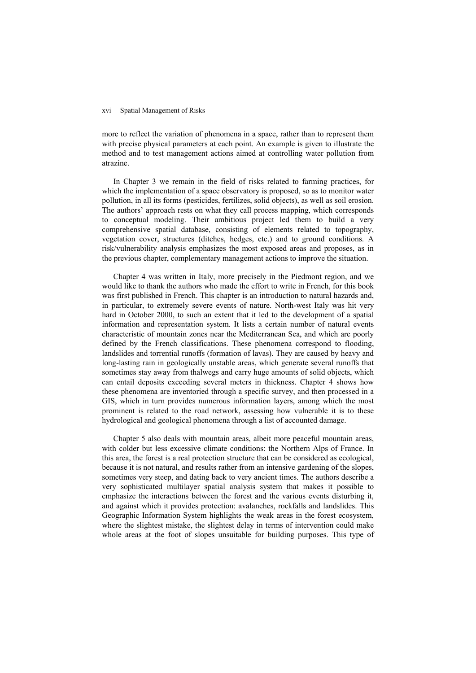#### xvi Spatial Management of Risks

more to reflect the variation of phenomena in a space, rather than to represent them with precise physical parameters at each point. An example is given to illustrate the method and to test management actions aimed at controlling water pollution from atrazine.

In Chapter 3 we remain in the field of risks related to farming practices, for which the implementation of a space observatory is proposed, so as to monitor water pollution, in all its forms (pesticides, fertilizes, solid objects), as well as soil erosion. The authors' approach rests on what they call process mapping, which corresponds to conceptual modeling. Their ambitious project led them to build a very comprehensive spatial database, consisting of elements related to topography, vegetation cover, structures (ditches, hedges, etc.) and to ground conditions. A risk/vulnerability analysis emphasizes the most exposed areas and proposes, as in the previous chapter, complementary management actions to improve the situation.

Chapter 4 was written in Italy, more precisely in the Piedmont region, and we would like to thank the authors who made the effort to write in French, for this book was first published in French. This chapter is an introduction to natural hazards and, in particular, to extremely severe events of nature. North-west Italy was hit very hard in October 2000, to such an extent that it led to the development of a spatial information and representation system. It lists a certain number of natural events characteristic of mountain zones near the Mediterranean Sea, and which are poorly defined by the French classifications. These phenomena correspond to flooding, landslides and torrential runoffs (formation of lavas). They are caused by heavy and long-lasting rain in geologically unstable areas, which generate several runoffs that sometimes stay away from thalwegs and carry huge amounts of solid objects, which can entail deposits exceeding several meters in thickness. Chapter 4 shows how these phenomena are inventoried through a specific survey, and then processed in a GIS, which in turn provides numerous information layers, among which the most prominent is related to the road network, assessing how vulnerable it is to these hydrological and geological phenomena through a list of accounted damage.

Chapter 5 also deals with mountain areas, albeit more peaceful mountain areas, with colder but less excessive climate conditions: the Northern Alps of France. In this area, the forest is a real protection structure that can be considered as ecological, because it is not natural, and results rather from an intensive gardening of the slopes, sometimes very steep, and dating back to very ancient times. The authors describe a very sophisticated multilayer spatial analysis system that makes it possible to emphasize the interactions between the forest and the various events disturbing it, and against which it provides protection: avalanches, rockfalls and landslides. This Geographic Information System highlights the weak areas in the forest ecosystem, where the slightest mistake, the slightest delay in terms of intervention could make whole areas at the foot of slopes unsuitable for building purposes. This type of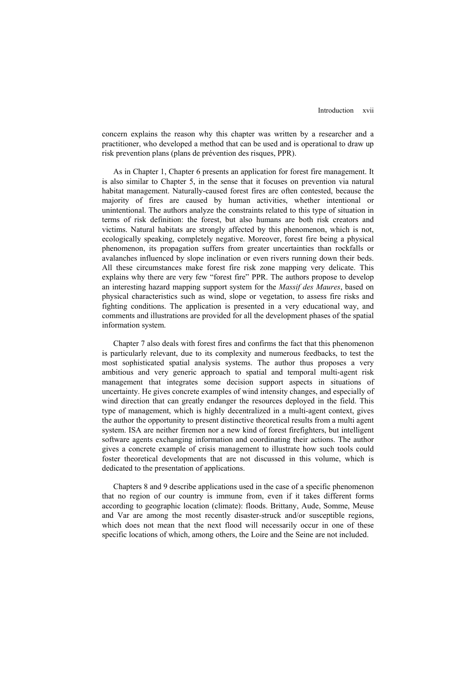concern explains the reason why this chapter was written by a researcher and a practitioner, who developed a method that can be used and is operational to draw up risk prevention plans (plans de prévention des risques, PPR).

As in Chapter 1, Chapter 6 presents an application for forest fire management. It is also similar to Chapter 5, in the sense that it focuses on prevention via natural habitat management. Naturally-caused forest fires are often contested, because the majority of fires are caused by human activities, whether intentional or unintentional. The authors analyze the constraints related to this type of situation in terms of risk definition: the forest, but also humans are both risk creators and victims. Natural habitats are strongly affected by this phenomenon, which is not, ecologically speaking, completely negative. Moreover, forest fire being a physical phenomenon, its propagation suffers from greater uncertainties than rockfalls or avalanches influenced by slope inclination or even rivers running down their beds. All these circumstances make forest fire risk zone mapping very delicate. This explains why there are very few "forest fire" PPR. The authors propose to develop an interesting hazard mapping support system for the *Massif des Maures*, based on physical characteristics such as wind, slope or vegetation, to assess fire risks and fighting conditions. The application is presented in a very educational way, and comments and illustrations are provided for all the development phases of the spatial information system.

Chapter 7 also deals with forest fires and confirms the fact that this phenomenon is particularly relevant, due to its complexity and numerous feedbacks, to test the most sophisticated spatial analysis systems. The author thus proposes a very ambitious and very generic approach to spatial and temporal multi-agent risk management that integrates some decision support aspects in situations of uncertainty. He gives concrete examples of wind intensity changes, and especially of wind direction that can greatly endanger the resources deployed in the field. This type of management, which is highly decentralized in a multi-agent context, gives the author the opportunity to present distinctive theoretical results from a multi agent system. ISA are neither firemen nor a new kind of forest firefighters, but intelligent software agents exchanging information and coordinating their actions. The author gives a concrete example of crisis management to illustrate how such tools could foster theoretical developments that are not discussed in this volume, which is dedicated to the presentation of applications.

Chapters 8 and 9 describe applications used in the case of a specific phenomenon that no region of our country is immune from, even if it takes different forms according to geographic location (climate): floods. Brittany, Aude, Somme, Meuse and Var are among the most recently disaster-struck and/or susceptible regions, which does not mean that the next flood will necessarily occur in one of these specific locations of which, among others, the Loire and the Seine are not included.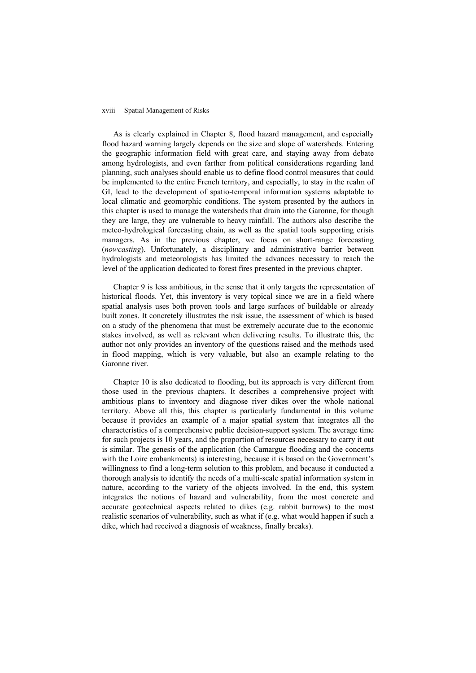#### xviii Spatial Management of Risks

As is clearly explained in Chapter 8, flood hazard management, and especially flood hazard warning largely depends on the size and slope of watersheds. Entering the geographic information field with great care, and staying away from debate among hydrologists, and even farther from political considerations regarding land planning, such analyses should enable us to define flood control measures that could be implemented to the entire French territory, and especially, to stay in the realm of GI, lead to the development of spatio-temporal information systems adaptable to local climatic and geomorphic conditions. The system presented by the authors in this chapter is used to manage the watersheds that drain into the Garonne, for though they are large, they are vulnerable to heavy rainfall. The authors also describe the meteo-hydrological forecasting chain, as well as the spatial tools supporting crisis managers. As in the previous chapter, we focus on short-range forecasting (*nowcasting*). Unfortunately, a disciplinary and administrative barrier between hydrologists and meteorologists has limited the advances necessary to reach the level of the application dedicated to forest fires presented in the previous chapter.

Chapter 9 is less ambitious, in the sense that it only targets the representation of historical floods. Yet, this inventory is very topical since we are in a field where spatial analysis uses both proven tools and large surfaces of buildable or already built zones. It concretely illustrates the risk issue, the assessment of which is based on a study of the phenomena that must be extremely accurate due to the economic stakes involved, as well as relevant when delivering results. To illustrate this, the author not only provides an inventory of the questions raised and the methods used in flood mapping, which is very valuable, but also an example relating to the Garonne river.

Chapter 10 is also dedicated to flooding, but its approach is very different from those used in the previous chapters. It describes a comprehensive project with ambitious plans to inventory and diagnose river dikes over the whole national territory. Above all this, this chapter is particularly fundamental in this volume because it provides an example of a major spatial system that integrates all the characteristics of a comprehensive public decision-support system. The average time for such projects is 10 years, and the proportion of resources necessary to carry it out is similar. The genesis of the application (the Camargue flooding and the concerns with the Loire embankments) is interesting, because it is based on the Government's willingness to find a long-term solution to this problem, and because it conducted a thorough analysis to identify the needs of a multi-scale spatial information system in nature, according to the variety of the objects involved. In the end, this system integrates the notions of hazard and vulnerability, from the most concrete and accurate geotechnical aspects related to dikes (e.g. rabbit burrows) to the most realistic scenarios of vulnerability, such as what if (e.g. what would happen if such a dike, which had received a diagnosis of weakness, finally breaks).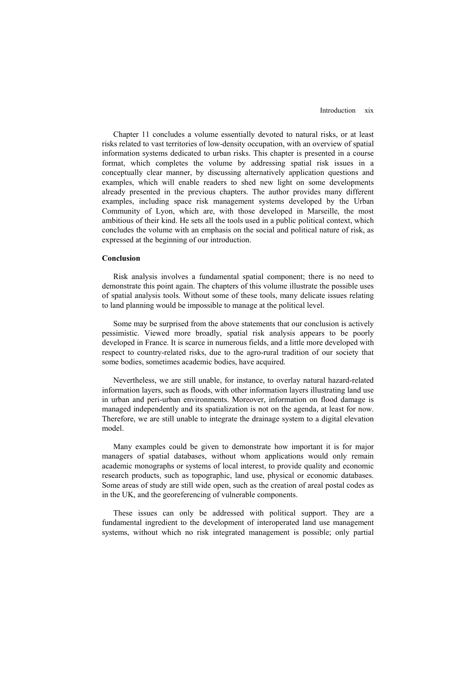Chapter 11 concludes a volume essentially devoted to natural risks, or at least risks related to vast territories of low-density occupation, with an overview of spatial information systems dedicated to urban risks. This chapter is presented in a course format, which completes the volume by addressing spatial risk issues in a conceptually clear manner, by discussing alternatively application questions and examples, which will enable readers to shed new light on some developments already presented in the previous chapters. The author provides many different examples, including space risk management systems developed by the Urban Community of Lyon, which are, with those developed in Marseille, the most ambitious of their kind. He sets all the tools used in a public political context, which concludes the volume with an emphasis on the social and political nature of risk, as expressed at the beginning of our introduction.

#### **Conclusion**

Risk analysis involves a fundamental spatial component; there is no need to demonstrate this point again. The chapters of this volume illustrate the possible uses of spatial analysis tools. Without some of these tools, many delicate issues relating to land planning would be impossible to manage at the political level.

Some may be surprised from the above statements that our conclusion is actively pessimistic. Viewed more broadly, spatial risk analysis appears to be poorly developed in France. It is scarce in numerous fields, and a little more developed with respect to country-related risks, due to the agro-rural tradition of our society that some bodies, sometimes academic bodies, have acquired.

Nevertheless, we are still unable, for instance, to overlay natural hazard-related information layers, such as floods, with other information layers illustrating land use in urban and peri-urban environments. Moreover, information on flood damage is managed independently and its spatialization is not on the agenda, at least for now. Therefore, we are still unable to integrate the drainage system to a digital elevation model.

Many examples could be given to demonstrate how important it is for major managers of spatial databases, without whom applications would only remain academic monographs or systems of local interest, to provide quality and economic research products, such as topographic, land use, physical or economic databases. Some areas of study are still wide open, such as the creation of areal postal codes as in the UK, and the georeferencing of vulnerable components.

These issues can only be addressed with political support. They are a fundamental ingredient to the development of interoperated land use management systems, without which no risk integrated management is possible; only partial